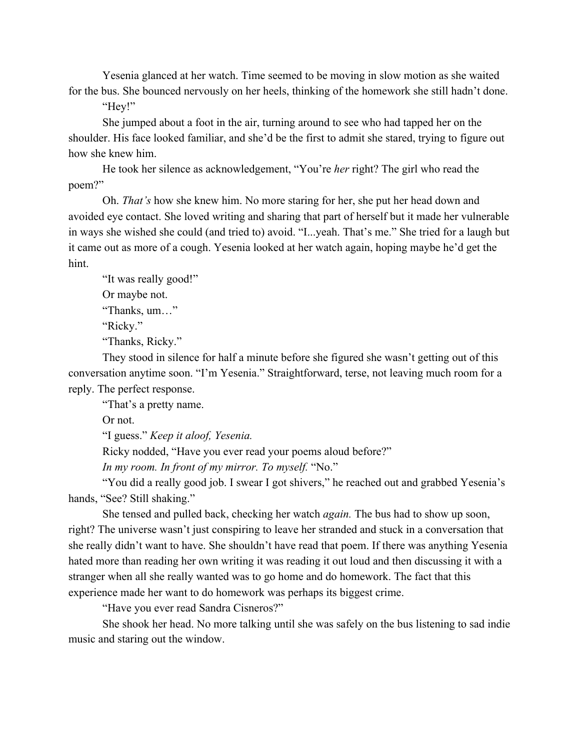Yesenia glanced at her watch. Time seemed to be moving in slow motion as she waited for the bus. She bounced nervously on her heels, thinking of the homework she still hadn't done.

"Hey!"

She jumped about a foot in the air, turning around to see who had tapped her on the shoulder. His face looked familiar, and she'd be the first to admit she stared, trying to figure out how she knew him.

He took her silence as acknowledgement, "You're *her* right? The girl who read the poem?"

Oh. *That's* how she knew him. No more staring for her, she put her head down and avoided eye contact. She loved writing and sharing that part of herself but it made her vulnerable in ways she wished she could (and tried to) avoid. "I...yeah. That's me." She tried for a laugh but it came out as more of a cough. Yesenia looked at her watch again, hoping maybe he'd get the hint.

"It was really good!" Or maybe not. "Thanks, um…" "Ricky." "Thanks, Ricky."

They stood in silence for half a minute before she figured she wasn't getting out of this conversation anytime soon. "I'm Yesenia." Straightforward, terse, not leaving much room for a reply. The perfect response.

"That's a pretty name.

Or not.

"I guess." *Keep it aloof, Yesenia.*

Ricky nodded, "Have you ever read your poems aloud before?"

*In my room. In front of my mirror. To myself.* "No."

"You did a really good job. I swear I got shivers," he reached out and grabbed Yesenia's hands, "See? Still shaking."

She tensed and pulled back, checking her watch *again.* The bus had to show up soon, right? The universe wasn't just conspiring to leave her stranded and stuck in a conversation that she really didn't want to have. She shouldn't have read that poem. If there was anything Yesenia hated more than reading her own writing it was reading it out loud and then discussing it with a stranger when all she really wanted was to go home and do homework. The fact that this experience made her want to do homework was perhaps its biggest crime.

"Have you ever read Sandra Cisneros?"

She shook her head. No more talking until she was safely on the bus listening to sad indie music and staring out the window.